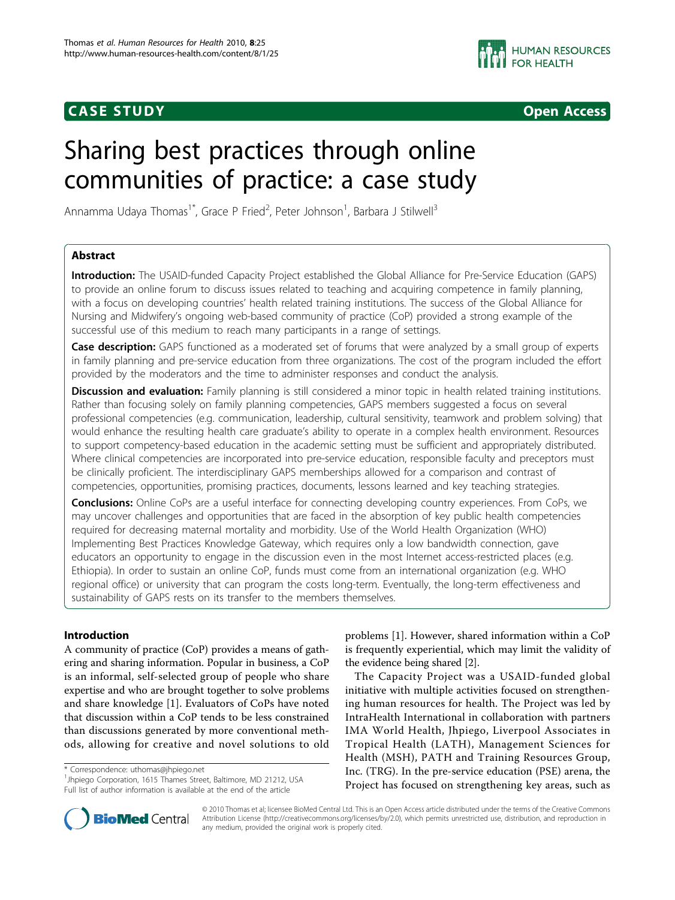## **CASE STUDY CASE STUDY Open Access**

# Sharing best practices through online communities of practice: a case study

Annamma Udaya Thomas<sup>1\*</sup>, Grace P Fried<sup>2</sup>, Peter Johnson<sup>1</sup>, Barbara J Stilwell<sup>3</sup>

## Abstract

Introduction: The USAID-funded Capacity Project established the Global Alliance for Pre-Service Education (GAPS) to provide an online forum to discuss issues related to teaching and acquiring competence in family planning, with a focus on developing countries' health related training institutions. The success of the Global Alliance for Nursing and Midwifery's ongoing web-based community of practice (CoP) provided a strong example of the successful use of this medium to reach many participants in a range of settings.

**Case description:** GAPS functioned as a moderated set of forums that were analyzed by a small group of experts in family planning and pre-service education from three organizations. The cost of the program included the effort provided by the moderators and the time to administer responses and conduct the analysis.

Discussion and evaluation: Family planning is still considered a minor topic in health related training institutions. Rather than focusing solely on family planning competencies, GAPS members suggested a focus on several professional competencies (e.g. communication, leadership, cultural sensitivity, teamwork and problem solving) that would enhance the resulting health care graduate's ability to operate in a complex health environment. Resources to support competency-based education in the academic setting must be sufficient and appropriately distributed. Where clinical competencies are incorporated into pre-service education, responsible faculty and preceptors must be clinically proficient. The interdisciplinary GAPS memberships allowed for a comparison and contrast of competencies, opportunities, promising practices, documents, lessons learned and key teaching strategies.

**Conclusions:** Online CoPs are a useful interface for connecting developing country experiences. From CoPs, we may uncover challenges and opportunities that are faced in the absorption of key public health competencies required for decreasing maternal mortality and morbidity. Use of the World Health Organization (WHO) Implementing Best Practices Knowledge Gateway, which requires only a low bandwidth connection, gave educators an opportunity to engage in the discussion even in the most Internet access-restricted places (e.g. Ethiopia). In order to sustain an online CoP, funds must come from an international organization (e.g. WHO regional office) or university that can program the costs long-term. Eventually, the long-term effectiveness and sustainability of GAPS rests on its transfer to the members themselves.

## Introduction

A community of practice (CoP) provides a means of gathering and sharing information. Popular in business, a CoP is an informal, self-selected group of people who share expertise and who are brought together to solve problems and share knowledge [\[1](#page-7-0)]. Evaluators of CoPs have noted that discussion within a CoP tends to be less constrained than discussions generated by more conventional methods, allowing for creative and novel solutions to old

\* Correspondence: [uthomas@jhpiego.net](mailto:uthomas@jhpiego.net)

<sup>1</sup>Jhpiego Corporation, 1615 Thames Street, Baltimore, MD 21212, USA Full list of author information is available at the end of the article

problems [[1\]](#page-7-0). However, shared information within a CoP is frequently experiential, which may limit the validity of the evidence being shared [\[2\]](#page-7-0).

The Capacity Project was a USAID-funded global initiative with multiple activities focused on strengthening human resources for health. The Project was led by IntraHealth International in collaboration with partners IMA World Health, Jhpiego, Liverpool Associates in Tropical Health (LATH), Management Sciences for Health (MSH), PATH and Training Resources Group, Inc. (TRG). In the pre-service education (PSE) arena, the Project has focused on strengthening key areas, such as



© 2010 Thomas et al; licensee BioMed Central Ltd. This is an Open Access article distributed under the terms of the Creative Commons Attribution License [\(http://creativecommons.org/licenses/by/2.0](http://creativecommons.org/licenses/by/2.0)), which permits unrestricted use, distribution, and reproduction in any medium, provided the original work is properly cited.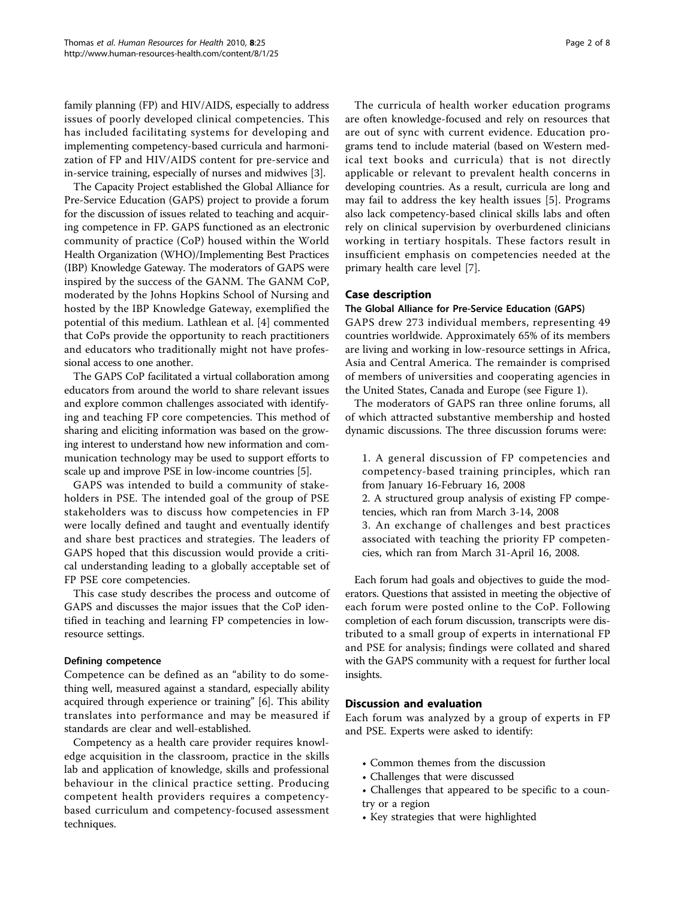family planning (FP) and HIV/AIDS, especially to address issues of poorly developed clinical competencies. This has included facilitating systems for developing and implementing competency-based curricula and harmonization of FP and HIV/AIDS content for pre-service and in-service training, especially of nurses and midwives [\[3](#page-7-0)].

The Capacity Project established the Global Alliance for Pre-Service Education (GAPS) project to provide a forum for the discussion of issues related to teaching and acquiring competence in FP. GAPS functioned as an electronic community of practice (CoP) housed within the World Health Organization (WHO)/Implementing Best Practices (IBP) Knowledge Gateway. The moderators of GAPS were inspired by the success of the GANM. The GANM CoP, moderated by the Johns Hopkins School of Nursing and hosted by the IBP Knowledge Gateway, exemplified the potential of this medium. Lathlean et al. [\[4](#page-7-0)] commented that CoPs provide the opportunity to reach practitioners and educators who traditionally might not have professional access to one another.

The GAPS CoP facilitated a virtual collaboration among educators from around the world to share relevant issues and explore common challenges associated with identifying and teaching FP core competencies. This method of sharing and eliciting information was based on the growing interest to understand how new information and communication technology may be used to support efforts to scale up and improve PSE in low-income countries [\[5](#page-7-0)].

GAPS was intended to build a community of stakeholders in PSE. The intended goal of the group of PSE stakeholders was to discuss how competencies in FP were locally defined and taught and eventually identify and share best practices and strategies. The leaders of GAPS hoped that this discussion would provide a critical understanding leading to a globally acceptable set of FP PSE core competencies.

This case study describes the process and outcome of GAPS and discusses the major issues that the CoP identified in teaching and learning FP competencies in lowresource settings.

## Defining competence

Competence can be defined as an "ability to do something well, measured against a standard, especially ability acquired through experience or training" [\[6\]](#page-7-0). This ability translates into performance and may be measured if standards are clear and well-established.

Competency as a health care provider requires knowledge acquisition in the classroom, practice in the skills lab and application of knowledge, skills and professional behaviour in the clinical practice setting. Producing competent health providers requires a competencybased curriculum and competency-focused assessment techniques.

The curricula of health worker education programs are often knowledge-focused and rely on resources that are out of sync with current evidence. Education programs tend to include material (based on Western medical text books and curricula) that is not directly applicable or relevant to prevalent health concerns in developing countries. As a result, curricula are long and may fail to address the key health issues [\[5\]](#page-7-0). Programs also lack competency-based clinical skills labs and often rely on clinical supervision by overburdened clinicians working in tertiary hospitals. These factors result in insufficient emphasis on competencies needed at the primary health care level [[7](#page-7-0)].

## Case description

#### The Global Alliance for Pre-Service Education (GAPS)

GAPS drew 273 individual members, representing 49 countries worldwide. Approximately 65% of its members are living and working in low-resource settings in Africa, Asia and Central America. The remainder is comprised of members of universities and cooperating agencies in the United States, Canada and Europe (see Figure [1\)](#page-2-0).

The moderators of GAPS ran three online forums, all of which attracted substantive membership and hosted dynamic discussions. The three discussion forums were:

1. A general discussion of FP competencies and competency-based training principles, which ran from January 16-February 16, 2008 2. A structured group analysis of existing FP competencies, which ran from March 3-14, 2008 3. An exchange of challenges and best practices associated with teaching the priority FP competencies, which ran from March 31-April 16, 2008.

Each forum had goals and objectives to guide the moderators. Questions that assisted in meeting the objective of each forum were posted online to the CoP. Following completion of each forum discussion, transcripts were distributed to a small group of experts in international FP and PSE for analysis; findings were collated and shared with the GAPS community with a request for further local insights.

#### Discussion and evaluation

Each forum was analyzed by a group of experts in FP and PSE. Experts were asked to identify:

- Common themes from the discussion
- Challenges that were discussed
- Challenges that appeared to be specific to a country or a region
- Key strategies that were highlighted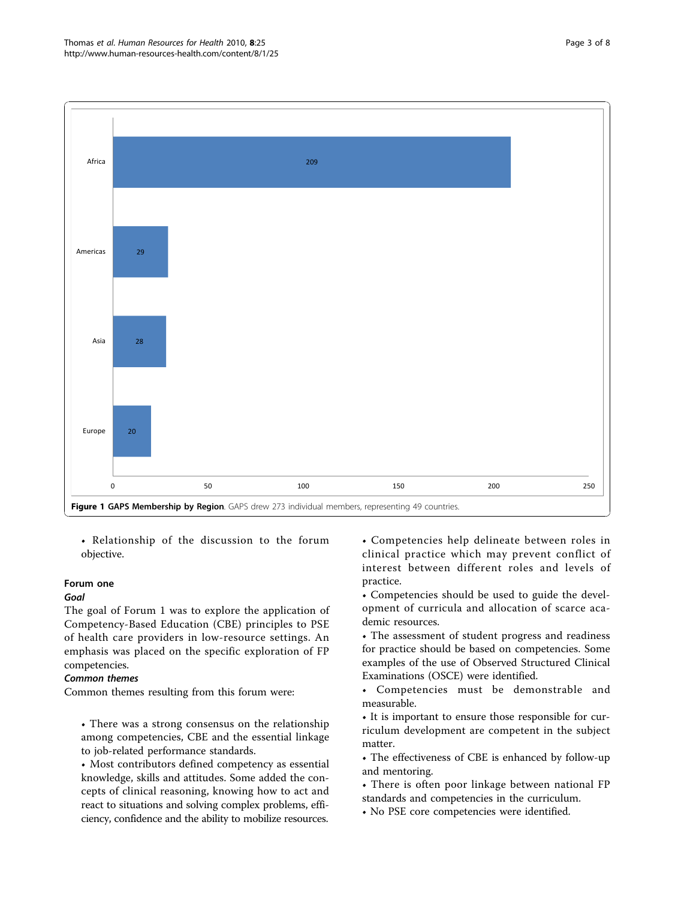<span id="page-2-0"></span>

• Relationship of the discussion to the forum objective.

#### Forum one

#### Goal

The goal of Forum 1 was to explore the application of Competency-Based Education (CBE) principles to PSE of health care providers in low-resource settings. An emphasis was placed on the specific exploration of FP competencies.

## Common themes

Common themes resulting from this forum were:

• There was a strong consensus on the relationship among competencies, CBE and the essential linkage to job-related performance standards.

• Most contributors defined competency as essential knowledge, skills and attitudes. Some added the concepts of clinical reasoning, knowing how to act and react to situations and solving complex problems, efficiency, confidence and the ability to mobilize resources. • Competencies help delineate between roles in clinical practice which may prevent conflict of interest between different roles and levels of practice.

• Competencies should be used to guide the development of curricula and allocation of scarce academic resources.

• The assessment of student progress and readiness for practice should be based on competencies. Some examples of the use of Observed Structured Clinical Examinations (OSCE) were identified.

• Competencies must be demonstrable and measurable.

• It is important to ensure those responsible for curriculum development are competent in the subject matter.

• The effectiveness of CBE is enhanced by follow-up and mentoring.

• There is often poor linkage between national FP standards and competencies in the curriculum.

• No PSE core competencies were identified.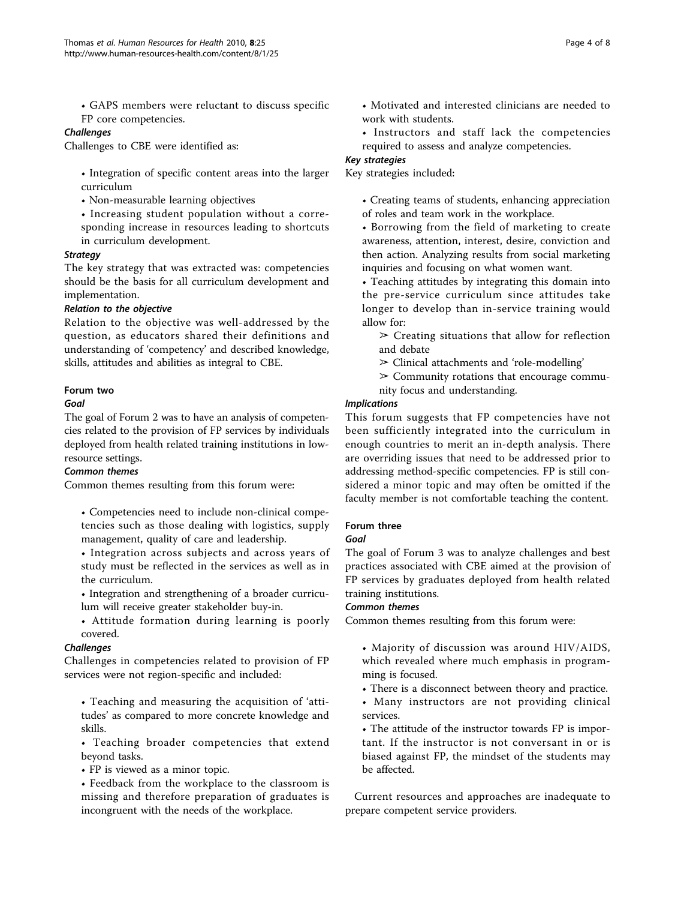• GAPS members were reluctant to discuss specific FP core competencies.

## **Challenges**

Challenges to CBE were identified as:

- Integration of specific content areas into the larger curriculum
- Non-measurable learning objectives
- Increasing student population without a corresponding increase in resources leading to shortcuts in curriculum development.

## **Strategy**

The key strategy that was extracted was: competencies should be the basis for all curriculum development and implementation.

## Relation to the objective

Relation to the objective was well-addressed by the question, as educators shared their definitions and understanding of 'competency' and described knowledge, skills, attitudes and abilities as integral to CBE.

## Forum two

#### Goal

The goal of Forum 2 was to have an analysis of competencies related to the provision of FP services by individuals deployed from health related training institutions in lowresource settings.

#### Common themes

Common themes resulting from this forum were:

- Competencies need to include non-clinical competencies such as those dealing with logistics, supply management, quality of care and leadership.
- Integration across subjects and across years of study must be reflected in the services as well as in the curriculum.
- Integration and strengthening of a broader curriculum will receive greater stakeholder buy-in.
- Attitude formation during learning is poorly covered.

#### **Challenges**

Challenges in competencies related to provision of FP services were not region-specific and included:

• Teaching and measuring the acquisition of 'attitudes' as compared to more concrete knowledge and skills.

• Teaching broader competencies that extend beyond tasks.

• FP is viewed as a minor topic.

• Feedback from the workplace to the classroom is missing and therefore preparation of graduates is incongruent with the needs of the workplace.

• Instructors and staff lack the competencies required to assess and analyze competencies.

#### Key strategies

Key strategies included:

• Creating teams of students, enhancing appreciation of roles and team work in the workplace.

• Borrowing from the field of marketing to create awareness, attention, interest, desire, conviction and then action. Analyzing results from social marketing inquiries and focusing on what women want.

• Teaching attitudes by integrating this domain into the pre-service curriculum since attitudes take longer to develop than in-service training would allow for:

 $\geq$  Creating situations that allow for reflection and debate

➢ Clinical attachments and 'role-modelling'

 $\geq$  Community rotations that encourage community focus and understanding.

## Implications

This forum suggests that FP competencies have not been sufficiently integrated into the curriculum in enough countries to merit an in-depth analysis. There are overriding issues that need to be addressed prior to addressing method-specific competencies. FP is still considered a minor topic and may often be omitted if the faculty member is not comfortable teaching the content.

## Forum three

#### Goal

The goal of Forum 3 was to analyze challenges and best practices associated with CBE aimed at the provision of FP services by graduates deployed from health related training institutions.

## Common themes

Common themes resulting from this forum were:

• Majority of discussion was around HIV/AIDS, which revealed where much emphasis in programming is focused.

• There is a disconnect between theory and practice.

• Many instructors are not providing clinical services.

• The attitude of the instructor towards FP is important. If the instructor is not conversant in or is biased against FP, the mindset of the students may be affected.

Current resources and approaches are inadequate to prepare competent service providers.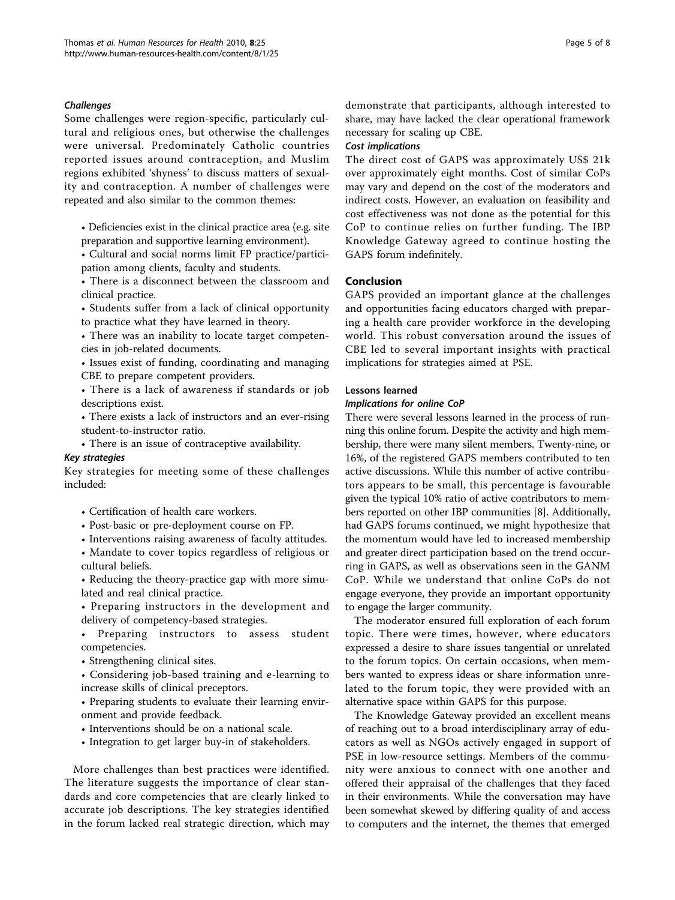## **Challenges**

Some challenges were region-specific, particularly cultural and religious ones, but otherwise the challenges were universal. Predominately Catholic countries reported issues around contraception, and Muslim regions exhibited 'shyness' to discuss matters of sexuality and contraception. A number of challenges were repeated and also similar to the common themes:

• Deficiencies exist in the clinical practice area (e.g. site preparation and supportive learning environment).

• Cultural and social norms limit FP practice/participation among clients, faculty and students.

• There is a disconnect between the classroom and clinical practice.

• Students suffer from a lack of clinical opportunity to practice what they have learned in theory.

• There was an inability to locate target competencies in job-related documents.

• Issues exist of funding, coordinating and managing CBE to prepare competent providers.

• There is a lack of awareness if standards or job descriptions exist.

• There exists a lack of instructors and an ever-rising student-to-instructor ratio.

• There is an issue of contraceptive availability.

#### Key strategies

Key strategies for meeting some of these challenges included:

• Certification of health care workers.

• Post-basic or pre-deployment course on FP.

• Interventions raising awareness of faculty attitudes.

• Mandate to cover topics regardless of religious or cultural beliefs.

• Reducing the theory-practice gap with more simulated and real clinical practice.

• Preparing instructors in the development and delivery of competency-based strategies.

Preparing instructors to assess student competencies.

• Strengthening clinical sites.

• Considering job-based training and e-learning to increase skills of clinical preceptors.

• Preparing students to evaluate their learning environment and provide feedback.

• Interventions should be on a national scale.

• Integration to get larger buy-in of stakeholders.

More challenges than best practices were identified. The literature suggests the importance of clear standards and core competencies that are clearly linked to accurate job descriptions. The key strategies identified in the forum lacked real strategic direction, which may demonstrate that participants, although interested to share, may have lacked the clear operational framework necessary for scaling up CBE.

#### Cost implications

The direct cost of GAPS was approximately US\$ 21k over approximately eight months. Cost of similar CoPs may vary and depend on the cost of the moderators and indirect costs. However, an evaluation on feasibility and cost effectiveness was not done as the potential for this CoP to continue relies on further funding. The IBP Knowledge Gateway agreed to continue hosting the GAPS forum indefinitely.

## Conclusion

GAPS provided an important glance at the challenges and opportunities facing educators charged with preparing a health care provider workforce in the developing world. This robust conversation around the issues of CBE led to several important insights with practical implications for strategies aimed at PSE.

## Lessons learned

#### Implications for online CoP

There were several lessons learned in the process of running this online forum. Despite the activity and high membership, there were many silent members. Twenty-nine, or 16%, of the registered GAPS members contributed to ten active discussions. While this number of active contributors appears to be small, this percentage is favourable given the typical 10% ratio of active contributors to members reported on other IBP communities [\[8](#page-7-0)]. Additionally, had GAPS forums continued, we might hypothesize that the momentum would have led to increased membership and greater direct participation based on the trend occurring in GAPS, as well as observations seen in the GANM CoP. While we understand that online CoPs do not engage everyone, they provide an important opportunity to engage the larger community.

The moderator ensured full exploration of each forum topic. There were times, however, where educators expressed a desire to share issues tangential or unrelated to the forum topics. On certain occasions, when members wanted to express ideas or share information unrelated to the forum topic, they were provided with an alternative space within GAPS for this purpose.

The Knowledge Gateway provided an excellent means of reaching out to a broad interdisciplinary array of educators as well as NGOs actively engaged in support of PSE in low-resource settings. Members of the community were anxious to connect with one another and offered their appraisal of the challenges that they faced in their environments. While the conversation may have been somewhat skewed by differing quality of and access to computers and the internet, the themes that emerged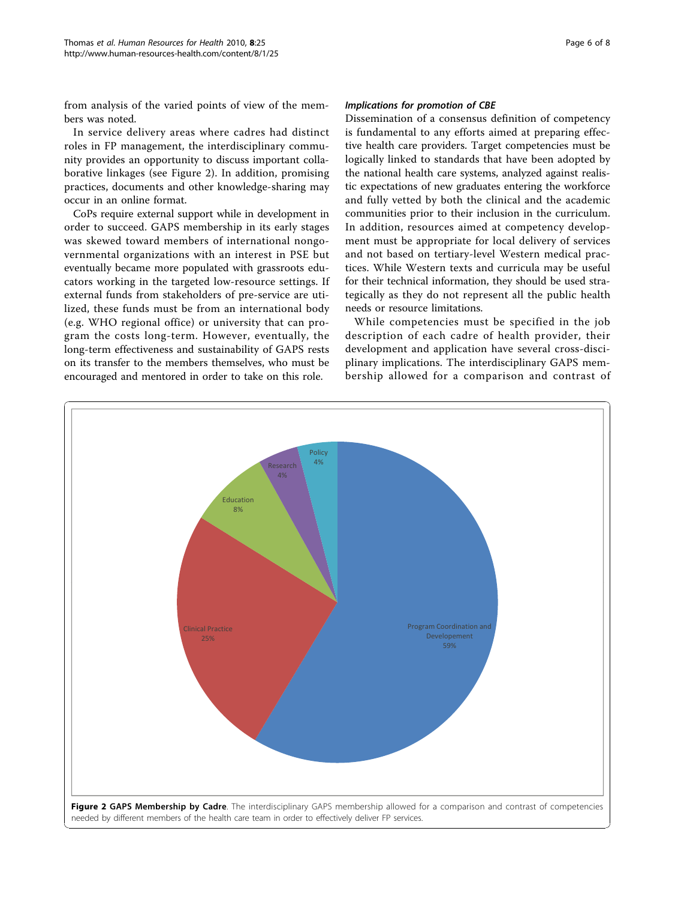from analysis of the varied points of view of the members was noted.

In service delivery areas where cadres had distinct roles in FP management, the interdisciplinary community provides an opportunity to discuss important collaborative linkages (see Figure 2). In addition, promising practices, documents and other knowledge-sharing may occur in an online format.

CoPs require external support while in development in order to succeed. GAPS membership in its early stages was skewed toward members of international nongovernmental organizations with an interest in PSE but eventually became more populated with grassroots educators working in the targeted low-resource settings. If external funds from stakeholders of pre-service are utilized, these funds must be from an international body (e.g. WHO regional office) or university that can program the costs long-term. However, eventually, the long-term effectiveness and sustainability of GAPS rests on its transfer to the members themselves, who must be encouraged and mentored in order to take on this role.

Dissemination of a consensus definition of competency is fundamental to any efforts aimed at preparing effective health care providers. Target competencies must be logically linked to standards that have been adopted by the national health care systems, analyzed against realistic expectations of new graduates entering the workforce and fully vetted by both the clinical and the academic communities prior to their inclusion in the curriculum. In addition, resources aimed at competency development must be appropriate for local delivery of services and not based on tertiary-level Western medical practices. While Western texts and curricula may be useful for their technical information, they should be used strategically as they do not represent all the public health needs or resource limitations.

While competencies must be specified in the job description of each cadre of health provider, their development and application have several cross-disciplinary implications. The interdisciplinary GAPS membership allowed for a comparison and contrast of

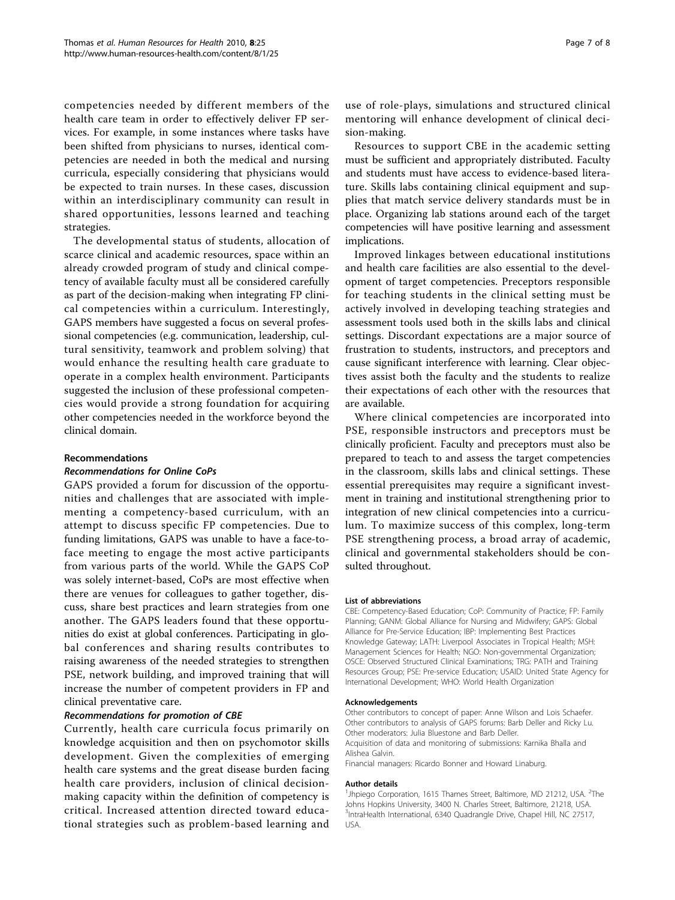competencies needed by different members of the health care team in order to effectively deliver FP services. For example, in some instances where tasks have been shifted from physicians to nurses, identical competencies are needed in both the medical and nursing curricula, especially considering that physicians would be expected to train nurses. In these cases, discussion within an interdisciplinary community can result in shared opportunities, lessons learned and teaching strategies.

The developmental status of students, allocation of scarce clinical and academic resources, space within an already crowded program of study and clinical competency of available faculty must all be considered carefully as part of the decision-making when integrating FP clinical competencies within a curriculum. Interestingly, GAPS members have suggested a focus on several professional competencies (e.g. communication, leadership, cultural sensitivity, teamwork and problem solving) that would enhance the resulting health care graduate to operate in a complex health environment. Participants suggested the inclusion of these professional competencies would provide a strong foundation for acquiring other competencies needed in the workforce beyond the clinical domain.

#### Recommendations

#### Recommendations for Online CoPs

GAPS provided a forum for discussion of the opportunities and challenges that are associated with implementing a competency-based curriculum, with an attempt to discuss specific FP competencies. Due to funding limitations, GAPS was unable to have a face-toface meeting to engage the most active participants from various parts of the world. While the GAPS CoP was solely internet-based, CoPs are most effective when there are venues for colleagues to gather together, discuss, share best practices and learn strategies from one another. The GAPS leaders found that these opportunities do exist at global conferences. Participating in global conferences and sharing results contributes to raising awareness of the needed strategies to strengthen PSE, network building, and improved training that will increase the number of competent providers in FP and clinical preventative care.

#### Recommendations for promotion of CBE

Currently, health care curricula focus primarily on knowledge acquisition and then on psychomotor skills development. Given the complexities of emerging health care systems and the great disease burden facing health care providers, inclusion of clinical decisionmaking capacity within the definition of competency is critical. Increased attention directed toward educational strategies such as problem-based learning and

use of role-plays, simulations and structured clinical mentoring will enhance development of clinical decision-making.

Resources to support CBE in the academic setting must be sufficient and appropriately distributed. Faculty and students must have access to evidence-based literature. Skills labs containing clinical equipment and supplies that match service delivery standards must be in place. Organizing lab stations around each of the target competencies will have positive learning and assessment implications.

Improved linkages between educational institutions and health care facilities are also essential to the development of target competencies. Preceptors responsible for teaching students in the clinical setting must be actively involved in developing teaching strategies and assessment tools used both in the skills labs and clinical settings. Discordant expectations are a major source of frustration to students, instructors, and preceptors and cause significant interference with learning. Clear objectives assist both the faculty and the students to realize their expectations of each other with the resources that are available.

Where clinical competencies are incorporated into PSE, responsible instructors and preceptors must be clinically proficient. Faculty and preceptors must also be prepared to teach to and assess the target competencies in the classroom, skills labs and clinical settings. These essential prerequisites may require a significant investment in training and institutional strengthening prior to integration of new clinical competencies into a curriculum. To maximize success of this complex, long-term PSE strengthening process, a broad array of academic, clinical and governmental stakeholders should be consulted throughout.

#### List of abbreviations

CBE: Competency-Based Education; CoP: Community of Practice; FP: Family Planning; GANM: Global Alliance for Nursing and Midwifery; GAPS: Global Alliance for Pre-Service Education; IBP: Implementing Best Practices Knowledge Gateway; LATH: Liverpool Associates in Tropical Health; MSH: Management Sciences for Health; NGO: Non-governmental Organization; OSCE: Observed Structured Clinical Examinations; TRG: PATH and Training Resources Group; PSE: Pre-service Education; USAID: United State Agency for International Development; WHO: World Health Organization

#### Acknowledgements

Other contributors to concept of paper: Anne Wilson and Lois Schaefer. Other contributors to analysis of GAPS forums: Barb Deller and Ricky Lu. Other moderators: Julia Bluestone and Barb Deller.

Acquisition of data and monitoring of submissions: Karnika Bhalla and Alishea Galvin.

Financial managers: Ricardo Bonner and Howard Linaburg.

#### Author details

<sup>1</sup>Jhpiego Corporation, 1615 Thames Street, Baltimore, MD 21212, USA. <sup>2</sup>The Johns Hopkins University, 3400 N. Charles Street, Baltimore, 21218, USA. <sup>3</sup>IntraHealth International, 6340 Quadrangle Drive, Chapel Hill, NC 27517, USA.